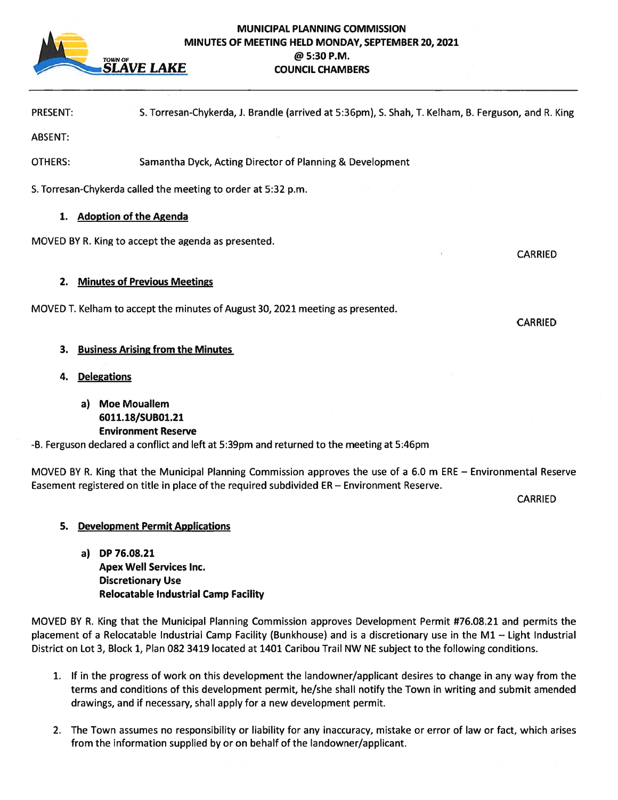

### MUNICIPAL PLANNING COMMISSION MINUTES OF MEETING HELD MONDAY, SEPTEMBER 20, 2021  $\omega$  5:30 P.M. SLAVE LAKE COUNCIL CHAMBERS

PRESENT: S. Torresan-Chykerda, i. Brandle (arrived at 5:36pm), S. Shah, T. Kelham, B. Ferguson, and R. King

ABSENT:

OTHERS: Samantha Dyck, Acting Director of Planning & Development

S. Torresan-Chykerda called the meeting to order at 5:32 p.m.

## 1. Adoption of the Agenda

MOVED BY R. King to accep<sup>t</sup> the agenda as presented.

## 2. Minutes of Previous Meetings

MOVED T. Kelham to accep<sup>t</sup> the minutes of August 30, 2021 meeting as presented.

## 3. Business Arising from the Minutes

- 4. Delegations
	- a) Moe Mouallem 6011.18/SUBO1.21 Environment Reserve

-B. Ferguson declared <sup>a</sup> conflict and left at 5:39pm and returned to the meeting at 5:46pm

MOVED BY R. King that the Municipal Planning Commission approves the use of <sup>a</sup> 6.0 <sup>m</sup> ERE — Environmental Reserve Easement registered on title in place of the required subdivided ER— Environment Reserve.

**CARRIED** 

## 5. Development Permit Applications

a) DP 76.08.21 Apex Well Services Inc. Discretionary Use Relocatable Industrial Camp Facility

MOVED BY R. King that the Municipal Planning Commission approves Development Permit #76.08.21 and permits the placement of <sup>a</sup> Relocatable Industrial Camp Facility (Bunkhouse) and is <sup>a</sup> discretionary use in the Ml — Light Industrial District on Lot 3, Block 1, Plan 082 3419 located at 1401 Caribou Trail NW NE subject to the following conditions.

- 1. If in the progress of work on this development the landowner/applicant desires to change in any way from the terms and conditions of this development permit, he/she shall notify the Town in writing and submit amended drawings, and if necessary, shall apply for <sup>a</sup> new development permit.
- 2. The Town assumes no responsibility or liability for any inaccuracy, mistake or error of law or fact, which arises from the information supplied by or on behalf of the landowner/applicant.

CARRIED

**CARRIED**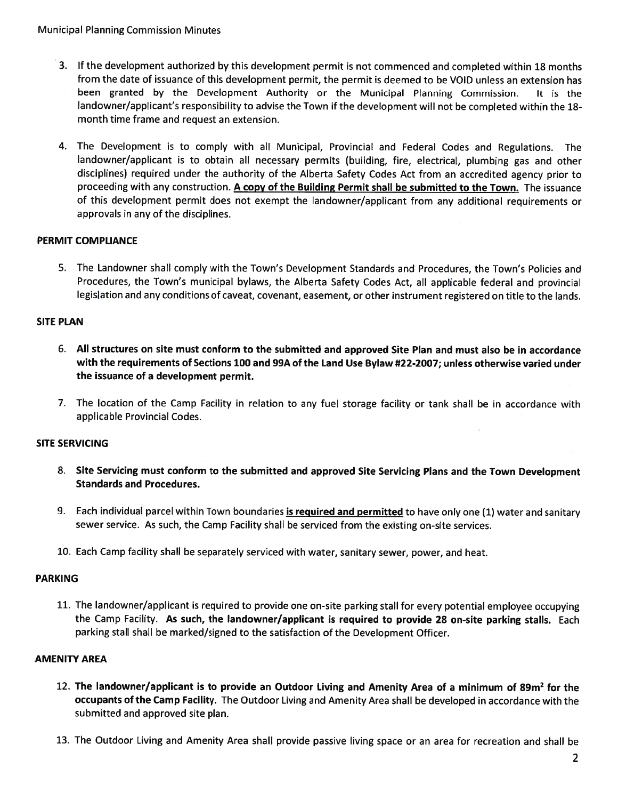- 3. If the development authorized by this development permit is not commenced and completed within 18 month from the date of issuance of this development permit, the permit is deemed to be VOID unless an extension has been granted by the Development Authority or the Municipal Planning Commission. It is the landowner/applicant's responsibility to advise the Town if the development will not be completed within the 18 month time frame and reques<sup>t</sup> an extension.
- 4. The Development is to comply with all Municipal, Provincial and Federal Codes and Regulations. The landowner/applicant is to obtain all necessary permits (building, fire, electrical, <sup>p</sup>lumbing gas and other disciplines) required under the authority of the Alberta Safety Codes Act from an accredited agency prior to proceeding with any construction. A copy of the Building Permit shall be submitted to the Town. The issuance of this development permit does not exemp<sup>t</sup> the landowner/applicant from any additional requirements or approvals in any of the disciplines.

## PERMIT COMPLIANCE

5. The Landowner shall comply with the Town's Development Standards and Procedures, the Town's Policies and Procedures, the Town's municipal bylaws, the Alberta Safety Codes Act, all applicable federal and provincial legislation and any conditions of caveat, covenant, easement, or other instrument registered on title to the lands.

### SITE PLAN

- 6. All structures on site must conform to the submitted and approved Site Plan and must also be in accordance with the requirements of Sections 100 and 99A of the Land Use Bylaw #22-2007; unless otherwise varied under the issuance of <sup>a</sup> development permit.
- 7. The location of the Camp Facility in relation to any fuel storage facility or tank shall be in accordance with applicable Provincial Codes.

### SITE SERVICING

- 8. Site Servicing must conform to the submitted and approve<sup>d</sup> Site Servicing Plans and the Town Development Standards and Procedures.
- 9. Each individual parcel within Town boundaries **is required and permitted** to have only one (1) water and sanitary sewer service. As such, the Camp Facility shall be serviced from the existing on-site services.
- 10. Each Camp facility shall be separately serviced with water, sanitary sewer, power, and heat.

### PARKING

11. The landowner/applicant is required to provide one on-site parking stall for every potential employee occupying the Camp Facility. As such, the landowner/applicant is required to provide <sup>28</sup> on-site parking stalls. Each parking stall shall be marked/signed to the satisfaction of the Development Officer.

### AMENITY AREA

- 12. The landowner/applicant is to provide an Outdoor Living and Amenity Area of a minimum of 89m<sup>2</sup> for the occupants of the Camp Facility. The Outdoor Living and Amenity Area shall be developed in accordance with the submitted and approved site plan.
- 13. The Outdoor Living and Amenity Area shall provide passive living space or an area for recreation and shall be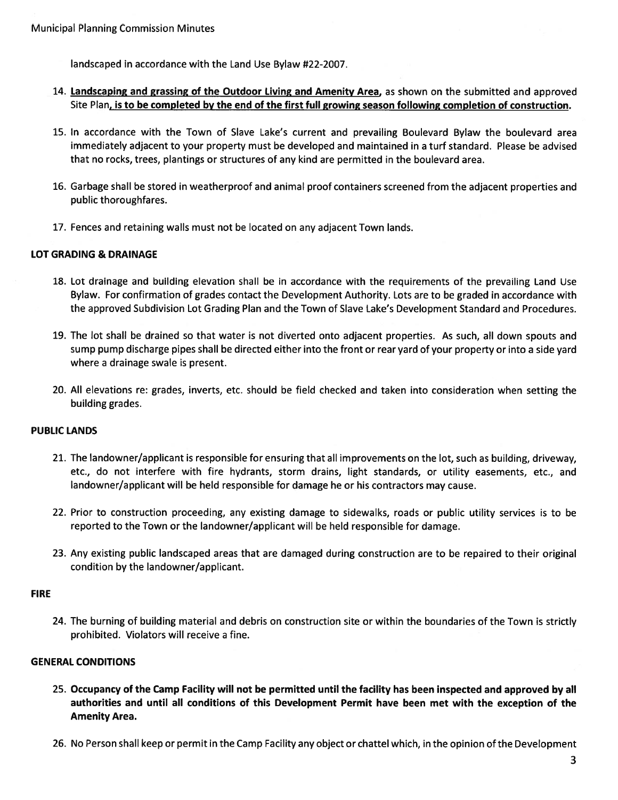landscaped in accordance with the Land Use Bylaw #22-2007.

### 14. Landscaping and grassing of the Outdoor Living and Amenity Area, as shown on the submitted and approved Site Plan, is to be completed by the end of the first full growing season following completion of construction.

- 15. In accordance with the Town of Slave Lake's current and prevailing Boulevard Bylaw the boulevard area immediately adjacent to your property must be developed and maintained in <sup>a</sup> turf standard. Please be advised that no rocks, trees, plantings or structures of any kind are permitted in the boulevard area.
- 16. Garbage shall be stored in weatherproof and animal proof containers screened from the adjacent properties and public thoroughfares.
- 17. Fences and retaining walls must not be located on any adjacent Town lands.

#### LOT GRADING & DRAINAGE

- 18. Lot drainage and building elevation shall be in accordance with the requirements of the prevailing Land Use Bylaw. For confirmation of grades contact the Development Authority. Lots are to be graded in accordance with the approved Subdivision Lot Grading Plan and the Town of Slave Lake's Development Standard and Procedures.
- 19. The lot shall be drained so that water is not diverted onto adjacent properties. As such, all down spouts and sump pump discharge <sup>p</sup>ipes shall be directed either into the front or rear yard of your property or into <sup>a</sup> side yard where <sup>a</sup> drainage swale is present.
- 20. All elevations re: grades, inverts, etc. should be field checked and taken into consideration when setting the building grades.

#### PUBLIC LANDS

- 21. The landowner/applicant is responsible for ensuring that all improvements on the lot, such as building, driveway, etc., do not interfere with fire hydrants, storm drains, light standards, or utility easements, etc., and landowner/applicant will be held responsible for damage he or his contractors may cause.
- 22. Prior to construction proceeding, any existing damage to sidewalks, roads or public utility services is to be reported to the Town or the landowner/applicant will be held responsible for damage.
- 23. Any existing public landscaped areas that are damaged during construction are to be repaired to their original condition by the landowner/applicant.

#### FIRE

24. The burning of building material and debris on construction site or within the boundaries of the Town is strictly prohibited. Violators will receive <sup>a</sup> fine.

#### GENERAL CONDITIONS

- 25. Occupancy of the Camp Facility will not be permitted until the facility has been inspected and approved by all authorities and until all conditions of this Development Permit have been met with the exception of the Amenity Area.
- 26. No Person shall keep or permit in the Camp Facility any object or chattel which, in the opinion of the Development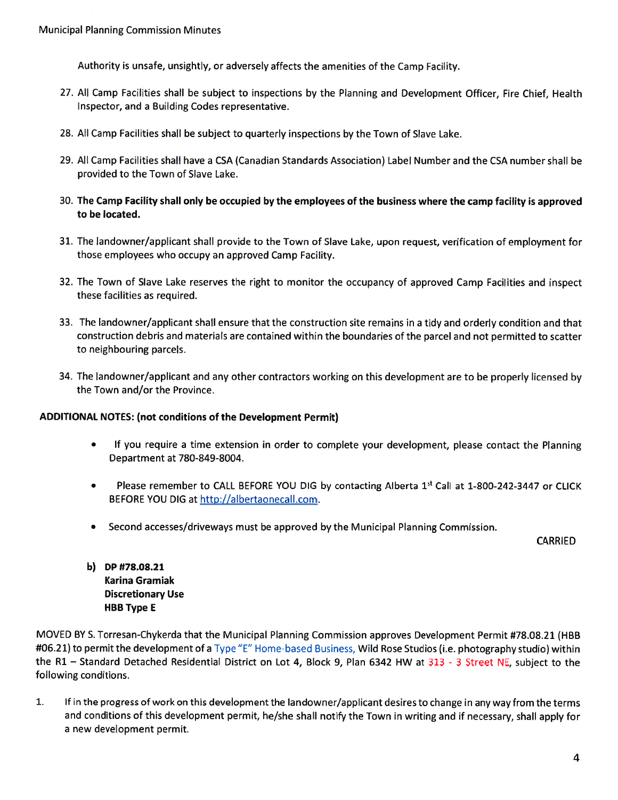Authority is unsafe, unsightly, or adversely affects the amenities of the Camp Facility.

- 27. All Camp Facilities shall be subject to inspections by the Planning and Development Officer, Fire Chief, Health Inspector, and <sup>a</sup> Building Codes representative.
- 28. All Camp Facilities shall be subject to quarterly inspections by the Town of Slave Lake.
- 29. All Camp Facilities shall have <sup>a</sup> CSA (Canadian Standards Association) Label Number and the CSA number shall be provided to the Town of Slave Lake.
- 30. The Camp Facility shall only be occupied by the employees of the business where the camp facility is approved to be located.
- 31. The landowner/applicant shall provide to the Town of Slave Lake, upon request, verification of employment for those employees who occupy an approved Camp Facility.
- 32. The Town of Slave Lake reserves the right to monitor the occupancy of approved Camp Facilities and inspect these facilities as required.
- 33. The landowner/applicant shall ensure that the construction site remains in <sup>a</sup> tidy and orderly condition and that construction debris and materials are contained within the boundaries of the parcel and not permitted to scatter to neighbouring parcels.
- 34. The landowner/applicant and any other contractors working on this development are to be properly licensed by the Town and/or the Province.

### ADDITIONAL NOTES: (not conditions of the Development Permit)

- • If you require <sup>a</sup> time extension in order to complete your development, <sup>p</sup>lease contact the Planning Department at 780-849-8004.
- $\bullet$ • Please remember to CALL BEFORE YOU DIG by contacting Alberta 1st Call at 1-800-242-3447 or CLICK BEFORE YOU DIG at http://albertaonecall.com.
- •Second accesses/driveways must be approved by the Municipal Planning Commission.

CARRIED

b) DP #78.08.21 Karina Gramial Discretionary Use HBB Type E

MOVED BY S. Torresan-Chykerda that the Municipal Planning Commission approves Development Permit #78.08.21 (HBB #06.21) to permit the development of <sup>a</sup> Type "E" Home-based Business, Wild Rose Studios (i.e. <sup>p</sup>hotography studio) within the R1 – Standard Detached Residential District on Lot 4, Block 9, Plan 6342 HW at 313 - 3 Street NE, subject to the following conditions.

1. Iff in the progress of work on this development the landowner/applicant desires to change in any way from the term and conditions of this development permit, he/she shall notify the Town in writing and if necessary, shall apply for a new development permit.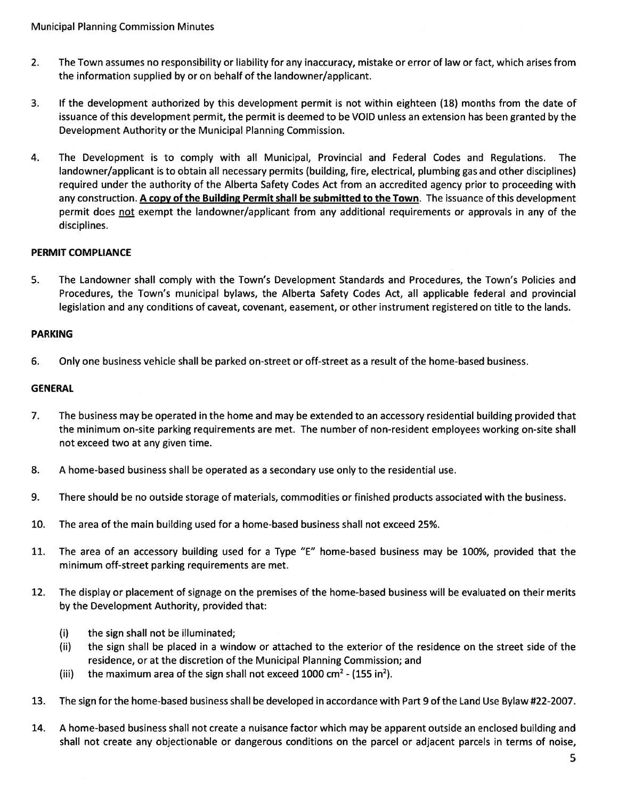- 2. The Town assumes no responsibility or liability for any inaccuracy, mistake or error of law or fact, which arises from the information supplied by or on behalf of the landowner/applicant.
- 3. If the development authorized by this development permit is not within eighteen (18) months from the date of issuance of this development permit, the permit is deemed to be VOID unless an extension has been granted by the Development Authority or the Municipal Planning Commission.
- 4. The Development is to comply with all Municipal, Provincial and Federal Codes and Regulations. The landowner/applicant is to obtain all necessary permits (building, fire, electrical, plumbing gas and other disciplines) required under the authority of the Alberta Safety Codes Act from an accredited agency prior to proceeding with any construction. A copy of the Building Permit shall be submitted to the Town. The issuance of this development permit does not exempt the landowner/applicant from any additional requirements or approvals in any of the disciplines.

## PERMIT COMPLIANCE

5. The Landowner shall comply with the Town's Development Standards and Procedures, the Town's Policies and Procedures, the Town's municipal bylaws, the Alberta Safety Codes Act, all applicable federal and provincial legislation and any conditions of caveat, covenant, easement, or other instrument registered on title to the lands.

## PARKING

6. Only one business vehicle shall be parked on-street or off-street as <sup>a</sup> result of the home-based business.

### GENERAL

- 7. The business may be operated in the home and may be extended to an accessory residential building provided that the minimum on-site parking requirements are met. The number of non-resident employees working on-site shall not exceed two at any given time.
- 8. A home-based business shall be operated as <sup>a</sup> secondary use only to the residential use.
- 9. There should be no outside storage of materials, commodities or finished products associated with the business.
- 10. The area of the main building used for <sup>a</sup> home-based business shall not exceed 25%.
- 11. The area of an accessory building used for <sup>a</sup> Type "E" home-based business may be 100%, provided that the minimum off-street parking requirements are met.
- 12. The display or placement of signage on the premises of the home-based business will be evaluated on their merits by the Development Authority, provided that:
	- (i) the sign shall not be illuminated;
	- (ii) the sign shall be placed in <sup>a</sup> window or attached to the exterior of the residence on the street side of the residence, or at the discretion of the Municipal Planning Commission; and
	- (iii) the maximum area of the sign shall not exceed 1000 cm<sup>2</sup> (155 in<sup>2</sup>).
- 13. The sign for the home-based business shall be developed in accordance with Part 9 of the Land Use Bylaw #22-2007.
- 14. A home-based business shall not create <sup>a</sup> nuisance factor which may be apparen<sup>t</sup> outside an enclosed building and shall not create any objectionable or dangerous conditions on the parcel or adjacent parcels in terms of noise,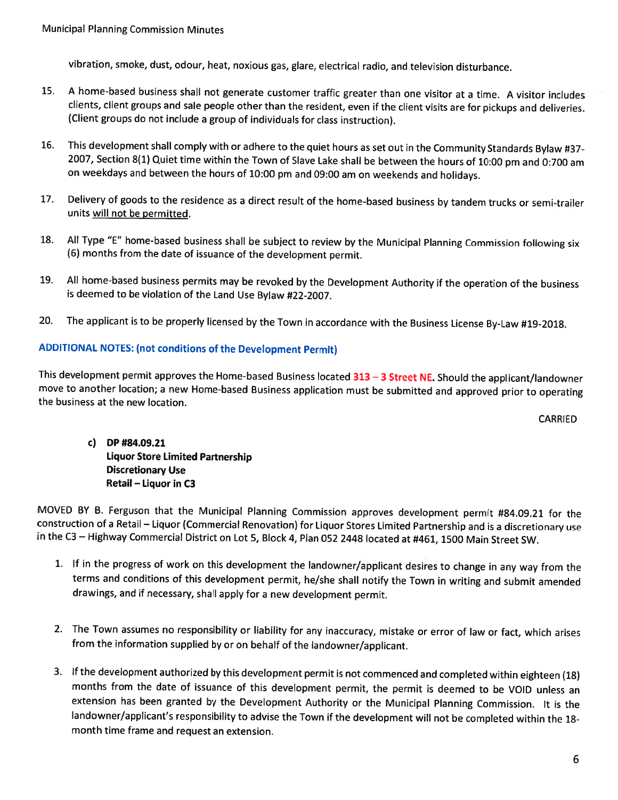vibration, smoke, dust, odour, heat, noxious gas, <sup>g</sup>lare, electrical radio, and television disturbance.

- 15. A home-based business shall not generate customer traffic greater than one visitor at <sup>a</sup> time. A visitor includes clients, client groups and sale people other than the resident, even if the client visits are for <sup>p</sup>ickups and deliveries. (Client groups do not include <sup>a</sup> group of individuals for class instruction).
- 16. This development shall comply with or adhere to the quiet hours as set out in the Community Standards Bylaw #37- 2007, Section 8(1) Quiet time within the Town of Slave Lake shall be between the hours of 10:00 pm and 0:700 am on weekdays and between the hours of 10:00 pm and 09:00 am on weekends and holidays.
- 17. Delivery of goods to the residence as <sup>a</sup> direct result of the home-based business by tandem trucks or semi-trailer units <u>will not be permitted</u>.
- 18. All Type "E" home-based business shall be subject to review by the Municipal Planning Commission following six (6) months from the date of issuance of the development permit.
- 19. All home-based business permits may be revoked by the Development Authority if the operation of the business is deemed to be violation of the Land Use Bylaw #22-2007.
- 20.The applicant is to be properly licensed by the Town in accordance with the Business License By-Law #19-2018.

# ADDITIONAL NOTES: (not conditions of the Development Permit)

This development permit approves the Home-based Business located 313 – 3 Street NE. Should the applicant/landowner move to another location; a new Home-based Business application must be submitted and approved prior to operating<br>the business at the new location. business at the new location.

CARRIED

c) DP #84.09.21 Liquor Store Limited Partnership Discretionary Use Retail — Liquor in C3

MOVED BY B. Ferguson that the Municipal Planning Commission approves development permit #84.09.21 for the construction of <sup>a</sup> Retail — Liquor (Commercial Renovation) for Liquor Stores Limited Partnership and is <sup>a</sup> discretionary use in the C3 — Highway Commercial District on Lot 5, Block 4, Plan <sup>052</sup> <sup>2448</sup> located at #461, <sup>1500</sup> Main Street SW.

- 1. If in the progress of work on this development the landowner/applicant desires to change in any way from the terms and conditions of this development permit, he/she shall notify the Town in writing and submit amended drawings, and if necessary, shall apply for <sup>a</sup> new development permit.
- 2. The Town assumes no responsibility or liability for any inaccuracy, mistake or error of law or fact, which arises from the information supplied by or on behalf of the landowner/applicant.
- 3. lfthe development authorized by this development permit is not commenced and completed within eighteen (18) months from the date of issuance of this development permit, the permit is deemed to be VOID unless an extension has been granted by the Development Authority or the Municipal Planning Commission. It is the landowner/applicant's responsibility to advise the Town if the development will not be completed within the 18 month time frame and request an extension.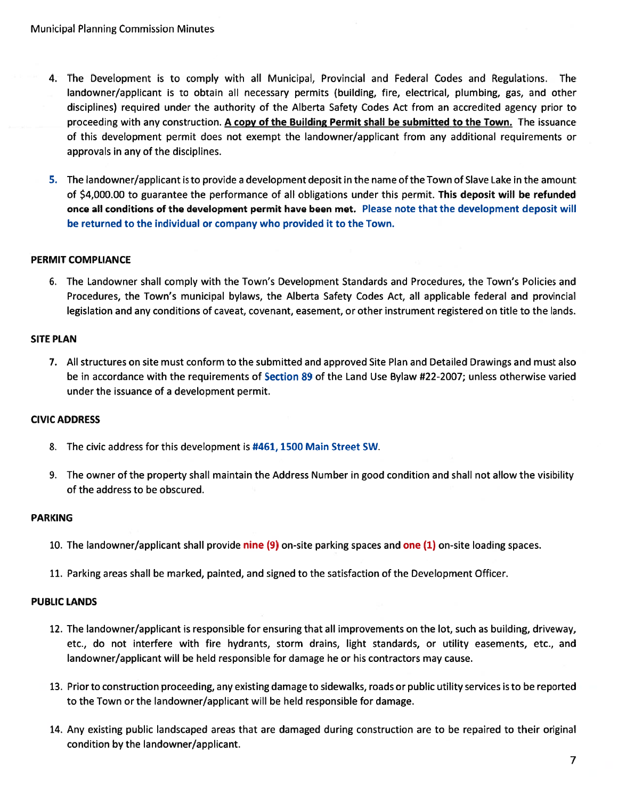- 4. The Development is to comply with all Municipal, Provincial and Federal Codes and Regulations. The landowner/applicant is to obtain all necessary permits (building, fire, electrical, plumbing, gas, and other disciplines) required under the authority of the Alberta Safety Codes Act from an accredited agency prior to proceeding with any construction. A copy of the Building Permit shall be submitted to the Town. The issuance of this development permit does not exemp<sup>t</sup> the landowner/applicant from any additional requirements or approvals in any of the disciplines.
- 5. The landowner/applicant is to provide <sup>a</sup> development deposit in the name of the Town of Slave Lake in the amount of \$4,000.00 to guarantee the performance of all obligations under this permit. This deposit will be refunded once all conditions of the development permit have been met. Please note that the development deposit will be returned to the individual or company who provided it to the Town.

### PERMIT COMPLIANCE

6. The Landowner shall comply with the Town's Development Standards and Procedures, the Town's Policies and Procedures, the Town's municipal bylaws, the Alberta Safety Codes Act, all applicable federal and provincial legislation and any conditions of caveat, covenant, easement, or other instrument registered on title to the lands.

### SITE PLAN

7. All structures on site must conform to the submitted and approved Site Plan and Detailed Drawings and must also be in accordance with the requirements of Section 89 of the Land Use Bylaw #22-2007; unless otherwise varied under the issuance of <sup>a</sup> development permit.

### CIVIC ADDRESS

- 8. The civic address for this development is #461, 1500 Main Street SW.
- 9. The owner of the property shall maintain the Address Number in good condition and shall not allow the visibility of the address to be obscured.

### PARKING

- 10. The landowner/applicant shall provide nine (9) on-site parking spaces and one (1) on-site loading spaces.
- 11. Parking areas shall be marked, painted, and signed to the satisfaction of the Development Officer.

### PUBLIC LANDS

- 12. The landowner/applicant is responsible for ensuring that all improvements on the lot, such as building, driveway, etc., do not interfere with fire hydrants, storm drains, light standards, or utility easements, etc., and landowner/applicant will be held responsible for damage he or his contractors may cause.
- 13. Prior to construction proceeding, any existing damage to sidewalks, roads or public utility services is to be reported to the Town or the landowner/applicant will be held responsible for damage.
- 14. Any existing public landscaped areas that are damaged during construction are to be repaired to their original condition by the landowner/applicant.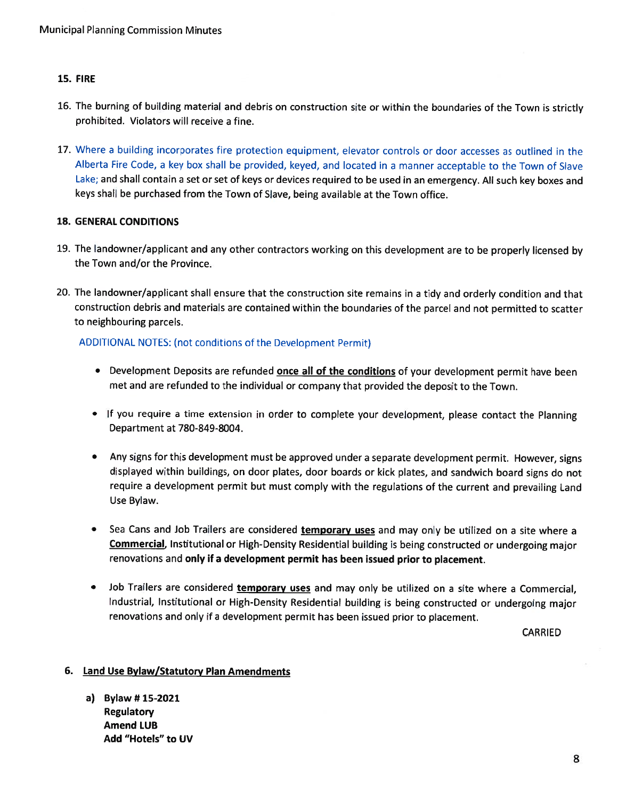### 15. FIRE

- 16. The burning of building material and debris on construction site or within the boundaries of the Town is strictly prohibited. Violators will receive <sup>a</sup> fine.
- 17. Where a building incorporates fire protection equipment, elevator controls or door accesses as outlined in the Alberta Fire Code, <sup>a</sup> key box shall be provided, keyed, and located in <sup>a</sup> manner acceptable to the Town of Slave Lake; and shall contain <sup>a</sup> set or set of keys or devices required to be used in an emergency. All such key boxes and keys shall be purchased from the Town of Slave, being available at the Town office.

### 18. GENERAL CONDITIONS

- 19. The landowner/applicant and any other contractors working on this development are to be properly licensed by the Town and/or the Province.
- 20. The landowner/applicant shall ensure that the construction site remains in <sup>a</sup> tidy and orderly condition and that construction debris and materials are contained within the boundaries of the parcel and not permitted to scatter to neighbouring parcels.

## ADDITIONAL NOTES: (not conditions of the Development Permit)

- Development Deposits are refunded **once all of the conditions** of your development permit have beer met and are refunded to the individual or company that provided the deposit to the Town.
- If you require <sup>a</sup> time extension in order to complete your development, <sup>p</sup>lease contact the Planning Department at 780-849-8004.
- $\bullet$   $\;\;$  Any signs for this development must be approved under a separate development permit. However, signs displayed within buildings, on door <sup>p</sup>lates, door boards or kick <sup>p</sup>lates, and sandwich board signs do not require <sup>a</sup> development permit but must comply with the regulations of the current and prevailing Land Use Bylaw.
- $\bullet$  Sea Cans and Job Trailers are considered temporary uses and may only be utilized on a site where a Commercial, Institutional or High-Density Residential building is being constructed or undergoing major renovations and only if <sup>a</sup> development permit has been issued prior to <sup>p</sup>lacement.
- Job Trailers are considered temporary uses and may only be utilized on a site where a Commercial Industrial, Institutional or High-Density Residential building is being constructed or undergoing major renovations and only if <sup>a</sup> development permit has been issued prior to <sup>p</sup>lacement.

CARRIED

### 6. Land Use Bylaw/Statutory Plan Amendments

a) Bylaw # 15-2021 Regulatory Amend LUBAdd "Hotels" to UV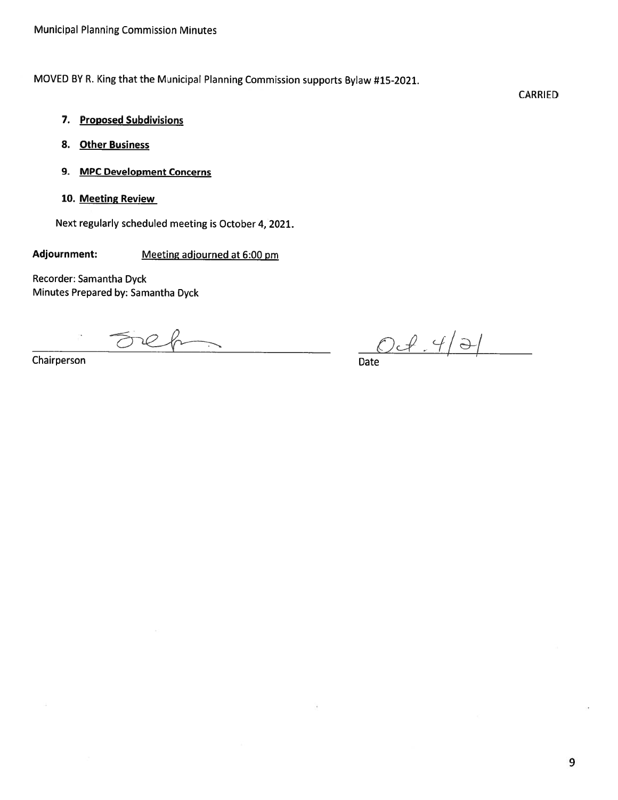MOVED BY R. King that the Municipal Planning Commission supports Bylaw #15-2021.

CARRIED

- 7. Proposed Subdivisions
- 8. Other Business
- 9. MPC Development Concerns
- 10. Meeting Review

Next regularly scheduled meeting is October 4, 2021.

Adjournment: Meeting adjourned at 6:00 pm

Recorder: Samantha Dyck Minutes Prepared by: Samantha Dyck

Fre ----

 $\frac{ORh}{Data$